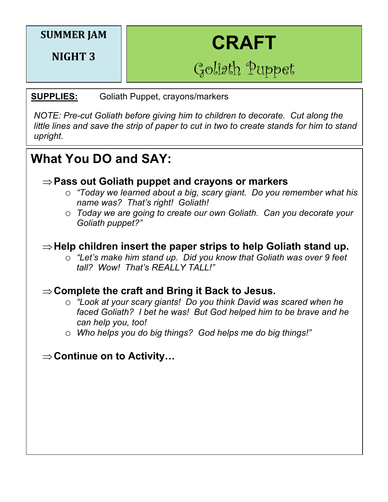## **SUMMER JAM**

**NIGHT 3**

# **CRAFT**

Goliath Puppet

#### **SUPPLIES:** Goliath Puppet, crayons/markers

*NOTE: Pre-cut Goliath before giving him to children to decorate. Cut along the little lines and save the strip of paper to cut in two to create stands for him to stand upright.*

# **What You DO and SAY:**

#### $\Rightarrow$  **Pass out Goliath puppet and crayons or markers**

- o *"Today we learned about a big, scary giant. Do you remember what his name was? That's right! Goliath!*
- o *Today we are going to create our own Goliath. Can you decorate your Goliath puppet?"*

### $\Rightarrow$  Help children insert the paper strips to help Goliath stand up.

o *"Let's make him stand up. Did you know that Goliath was over 9 feet tall? Wow! That's REALLY TALL!"*

## **⇒Complete the craft and Bring it Back to Jesus.**

- o *"Look at your scary giants! Do you think David was scared when he faced Goliath? I bet he was! But God helped him to be brave and he can help you, too!*
- o *Who helps you do big things? God helps me do big things!"*

## $\Rightarrow$  **Continue on to Activity…**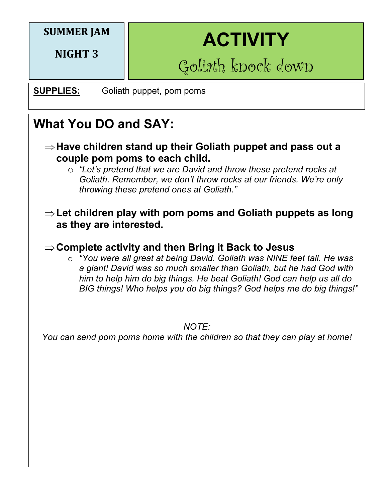# **SUMMER JAM**

**NIGHT 3**

# **ACTIVITY**

Goliath knock down

# **SUPPLIES:** Goliath puppet, pom poms

# **What You DO and SAY:**

- $\Rightarrow$  **Have children stand up their Goliath puppet and pass out a couple pom poms to each child.**
	- o *"Let's pretend that we are David and throw these pretend rocks at Goliath. Remember, we don't throw rocks at our friends. We're only throwing these pretend ones at Goliath."*

#### $\Rightarrow$  **Let children play with pom poms and Goliath puppets as long as they are interested.**

# $\Rightarrow$  Complete activity and then Bring it Back to Jesus

 $\circ$  "You were all great at being David. Goliath was NINE feet tall. He was *a giant! David was so much smaller than Goliath, but he had God with him to help him do big things. He beat Goliath! God can help us all do BIG things! Who helps you do big things? God helps me do big things!"* 

*NOTE:* 

*You can send pom poms home with the children so that they can play at home!*